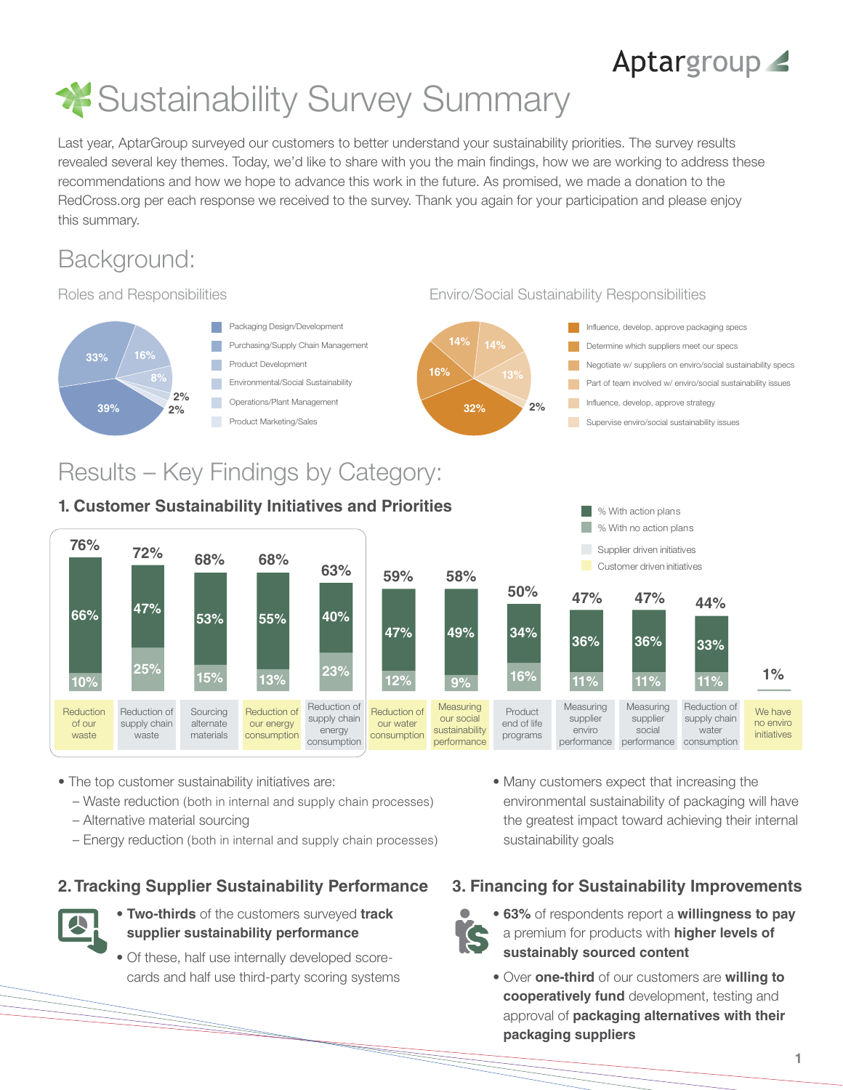# Aptargroup

# **X** Sustainability Survey Summary

Last year, AptarGroup surveyed our customers to better understand your sustainability priorities. The survey results revealed several key themes. Today, we'd like to share with you the main findings, how we are working to address these recommendations and how we hope to advance this work in the future. As promised, we made a donation to the RedCross.org per each response we received to the survey. Thank you again for your participation and please enjoy this summary.

## Background:



#### • The top customer sustainability initiatives are:

Sourcing alternate materials

– Waste reduction (both in internal and supply chain processes)

Reduction of our energy consumption

supply chain energy consumption Reduction of our water consumption

– Alternative material sourcing

Reduction of supply chain waste

– Energy reduction (both in internal and supply chain processes)

### **2. Tracking Supplier Sustainability Performance 3. Financing for Sustainability Improvements**

Reduction of our waste

- **Two-thirds** of the customers surveyed **track supplier sustainability performance**
- Of these, half use internally developed score cards and half use third-party scoring systems

• Many customers expect that increasing the environmental sustainability of packaging will have the greatest impact toward achieving their internal sustainability goals

supplier social performance

supply chain water consumption

We have no enviro initiatives



our social sustainability performance

Product end of life programs

supplier enviro performance

- **63%** of respondents report a **willingness to pay** a premium for products with **higher levels of sustainably sourced content**
- Over **one-third** of our customers are **willing to cooperatively fund** development, testing and approval of **packaging alternatives with their packaging suppliers**